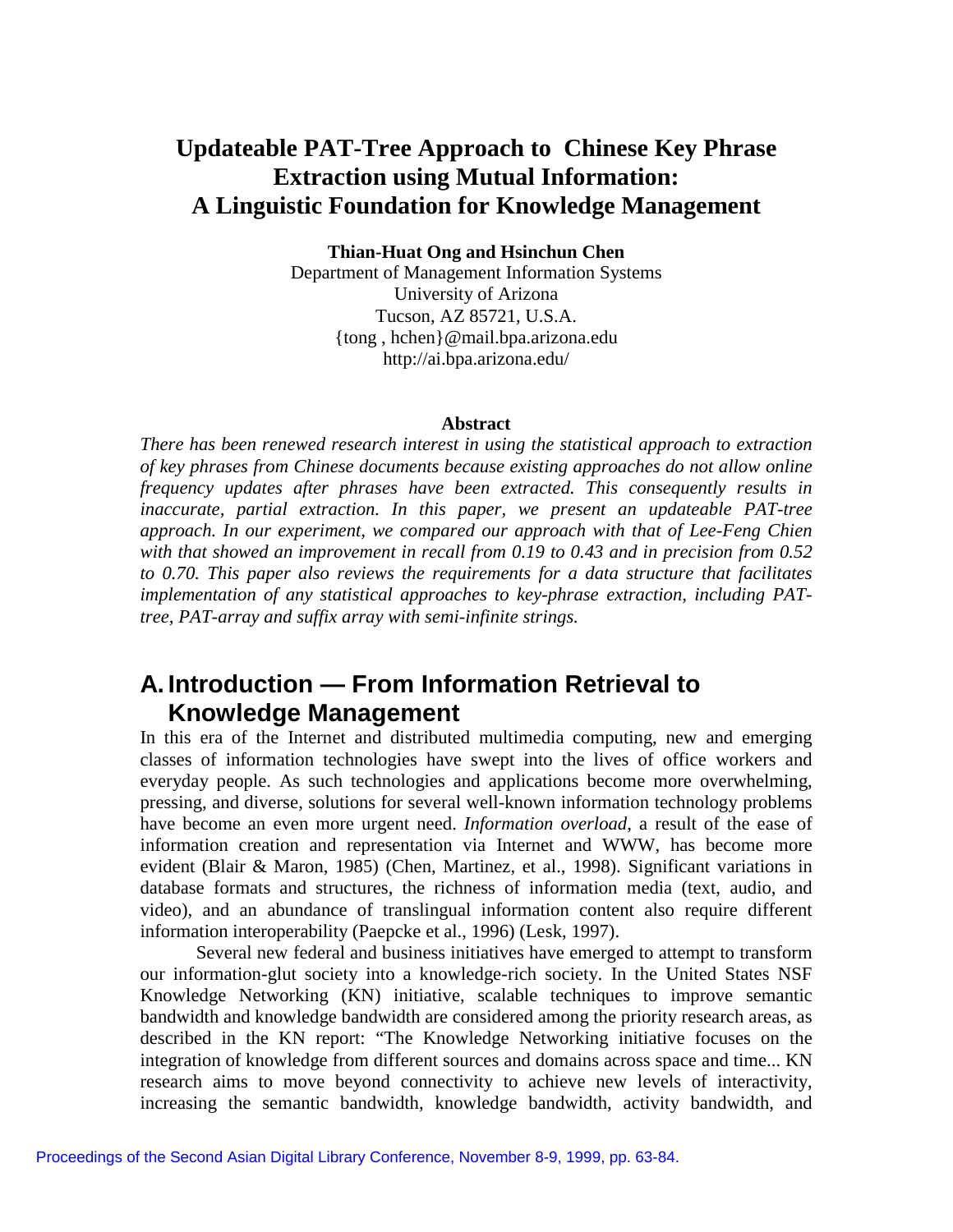## **Updateable PAT-Tree Approach to Chinese Key Phrase Extraction using Mutual Information: A Linguistic Foundation for Knowledge Management**

**Thian-Huat Ong and Hsinchun Chen**

Department of Management Information Systems University of Arizona Tucson, AZ 85721, U.S.A. {tong , hchen}@mail.bpa.arizona.edu http://ai.bpa.arizona.edu/

#### **Abstract**

*There has been renewed research interest in using the statistical approach to extraction of key phrases from Chinese documents because existing approaches do not allow online frequency updates after phrases have been extracted. This consequently results in inaccurate, partial extraction. In this paper, we present an updateable PAT-tree approach. In our experiment, we compared our approach with that of Lee-Feng Chien with that showed an improvement in recall from 0.19 to 0.43 and in precision from 0.52 to 0.70. This paper also reviews the requirements for a data structure that facilitates implementation of any statistical approaches to key-phrase extraction, including PATtree, PAT-array and suffix array with semi-infinite strings.*

## **A. Introduction — From Information Retrieval to Knowledge Management**

In this era of the Internet and distributed multimedia computing, new and emerging classes of information technologies have swept into the lives of office workers and everyday people. As such technologies and applications become more overwhelming, pressing, and diverse, solutions for several well-known information technology problems have become an even more urgent need. *Information overload*, a result of the ease of information creation and representation via Internet and WWW, has become more evident (Blair & Maron, 1985) (Chen, Martinez, et al., 1998). Significant variations in database formats and structures, the richness of information media (text, audio, and video), and an abundance of translingual information content also require different information interoperability (Paepcke et al., 1996) (Lesk, 1997).

Several new federal and business initiatives have emerged to attempt to transform our information-glut society into a knowledge-rich society. In the United States NSF Knowledge Networking (KN) initiative, scalable techniques to improve semantic bandwidth and knowledge bandwidth are considered among the priority research areas, as described in the KN report: "The Knowledge Networking initiative focuses on the integration of knowledge from different sources and domains across space and time... KN research aims to move beyond connectivity to achieve new levels of interactivity, increasing the semantic bandwidth, knowledge bandwidth, activity bandwidth, and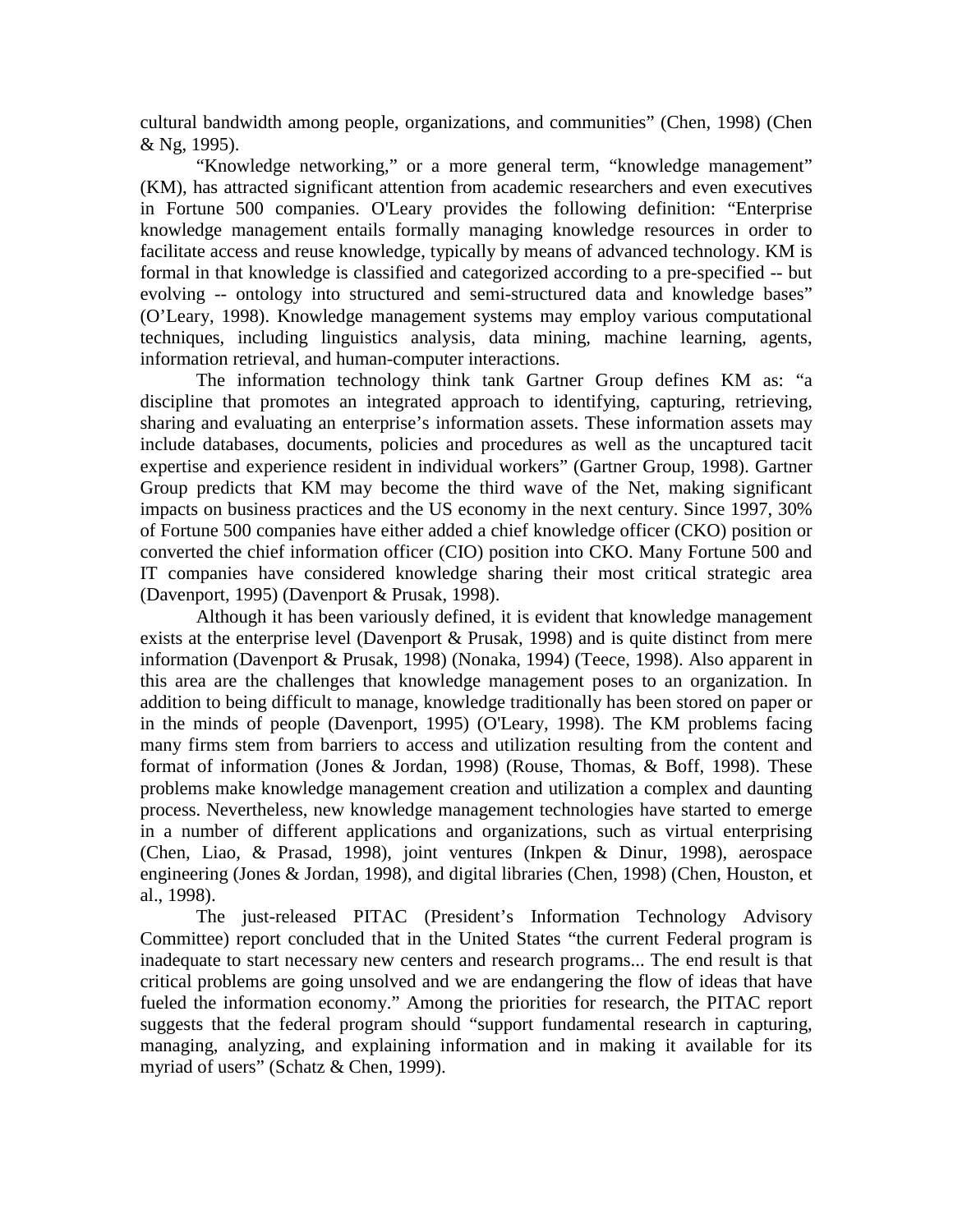cultural bandwidth among people, organizations, and communities" (Chen, 1998) (Chen & Ng, 1995).

"Knowledge networking," or a more general term, "knowledge management" (KM), has attracted significant attention from academic researchers and even executives in Fortune 500 companies. O'Leary provides the following definition: "Enterprise knowledge management entails formally managing knowledge resources in order to facilitate access and reuse knowledge, typically by means of advanced technology. KM is formal in that knowledge is classified and categorized according to a pre-specified -- but evolving -- ontology into structured and semi-structured data and knowledge bases" (O'Leary, 1998). Knowledge management systems may employ various computational techniques, including linguistics analysis, data mining, machine learning, agents, information retrieval, and human-computer interactions.

The information technology think tank Gartner Group defines KM as: "a discipline that promotes an integrated approach to identifying, capturing, retrieving, sharing and evaluating an enterprise's information assets. These information assets may include databases, documents, policies and procedures as well as the uncaptured tacit expertise and experience resident in individual workers" (Gartner Group, 1998). Gartner Group predicts that KM may become the third wave of the Net, making significant impacts on business practices and the US economy in the next century. Since 1997, 30% of Fortune 500 companies have either added a chief knowledge officer (CKO) position or converted the chief information officer (CIO) position into CKO. Many Fortune 500 and IT companies have considered knowledge sharing their most critical strategic area (Davenport, 1995) (Davenport & Prusak, 1998).

Although it has been variously defined, it is evident that knowledge management exists at the enterprise level (Davenport & Prusak, 1998) and is quite distinct from mere information (Davenport & Prusak, 1998) (Nonaka, 1994) (Teece, 1998). Also apparent in this area are the challenges that knowledge management poses to an organization. In addition to being difficult to manage, knowledge traditionally has been stored on paper or in the minds of people (Davenport, 1995) (O'Leary, 1998). The KM problems facing many firms stem from barriers to access and utilization resulting from the content and format of information (Jones & Jordan, 1998) (Rouse, Thomas, & Boff, 1998). These problems make knowledge management creation and utilization a complex and daunting process. Nevertheless, new knowledge management technologies have started to emerge in a number of different applications and organizations, such as virtual enterprising (Chen, Liao, & Prasad, 1998), joint ventures (Inkpen & Dinur, 1998), aerospace engineering (Jones & Jordan, 1998), and digital libraries (Chen, 1998) (Chen, Houston, et al., 1998).

The just-released PITAC (President's Information Technology Advisory Committee) report concluded that in the United States "the current Federal program is inadequate to start necessary new centers and research programs... The end result is that critical problems are going unsolved and we are endangering the flow of ideas that have fueled the information economy." Among the priorities for research, the PITAC report suggests that the federal program should "support fundamental research in capturing, managing, analyzing, and explaining information and in making it available for its myriad of users" (Schatz & Chen, 1999).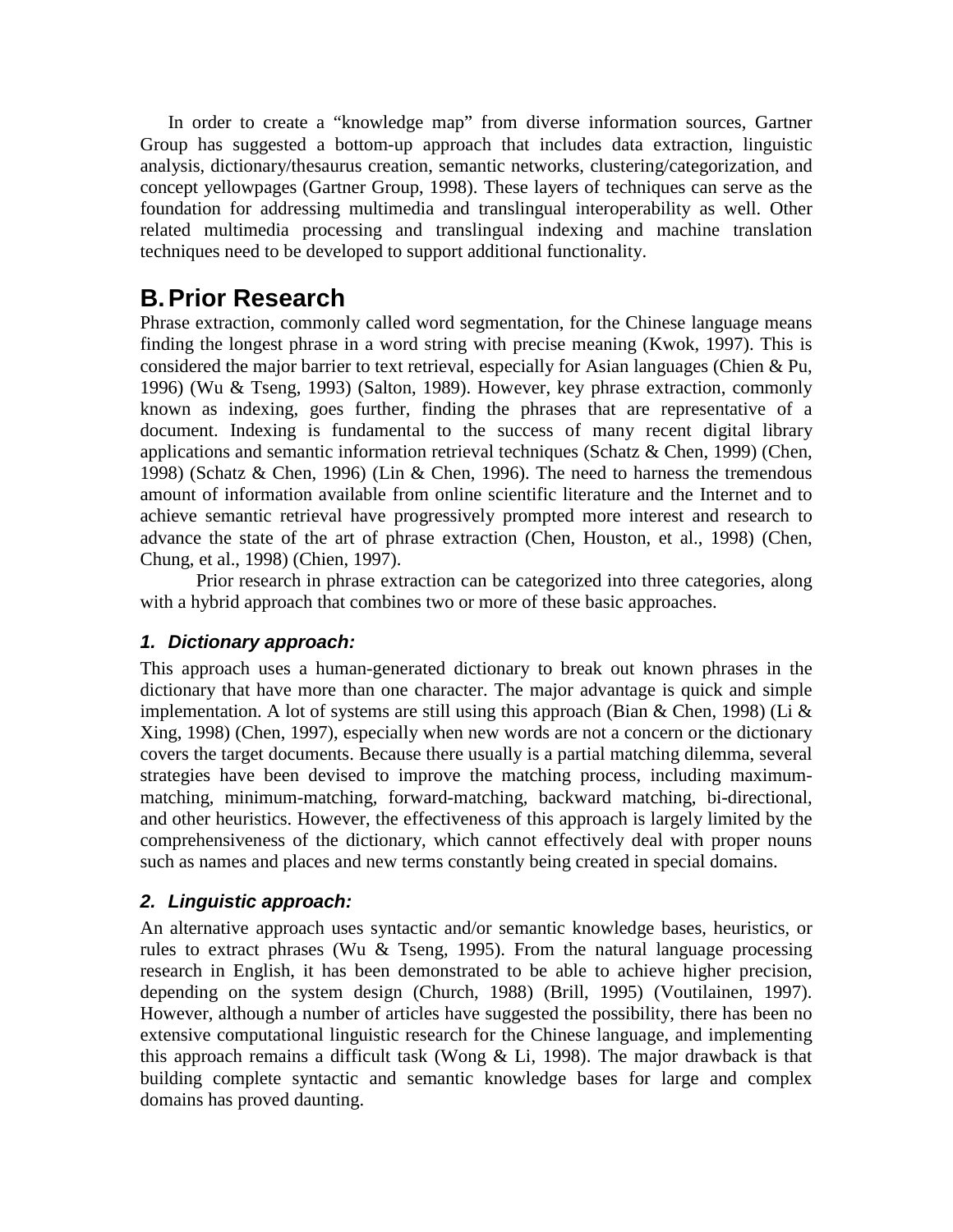In order to create a "knowledge map" from diverse information sources, Gartner Group has suggested a bottom-up approach that includes data extraction, linguistic analysis, dictionary/thesaurus creation, semantic networks, clustering/categorization, and concept yellowpages (Gartner Group, 1998). These layers of techniques can serve as the foundation for addressing multimedia and translingual interoperability as well. Other related multimedia processing and translingual indexing and machine translation techniques need to be developed to support additional functionality.

# **B. Prior Research**

Phrase extraction, commonly called word segmentation, for the Chinese language means finding the longest phrase in a word string with precise meaning (Kwok, 1997). This is considered the major barrier to text retrieval, especially for Asian languages (Chien & Pu, 1996) (Wu & Tseng, 1993) (Salton, 1989). However, key phrase extraction, commonly known as indexing, goes further, finding the phrases that are representative of a document. Indexing is fundamental to the success of many recent digital library applications and semantic information retrieval techniques (Schatz & Chen, 1999) (Chen, 1998) (Schatz & Chen, 1996) (Lin & Chen, 1996). The need to harness the tremendous amount of information available from online scientific literature and the Internet and to achieve semantic retrieval have progressively prompted more interest and research to advance the state of the art of phrase extraction (Chen, Houston, et al., 1998) (Chen, Chung, et al., 1998) (Chien, 1997).

Prior research in phrase extraction can be categorized into three categories, along with a hybrid approach that combines two or more of these basic approaches.

### *1. Dictionary approach:*

This approach uses a human-generated dictionary to break out known phrases in the dictionary that have more than one character. The major advantage is quick and simple implementation. A lot of systems are still using this approach (Bian & Chen, 1998) (Li & Xing, 1998) (Chen, 1997), especially when new words are not a concern or the dictionary covers the target documents. Because there usually is a partial matching dilemma, several strategies have been devised to improve the matching process, including maximummatching, minimum-matching, forward-matching, backward matching, bi-directional, and other heuristics. However, the effectiveness of this approach is largely limited by the comprehensiveness of the dictionary, which cannot effectively deal with proper nouns such as names and places and new terms constantly being created in special domains.

### *2. Linguistic approach:*

An alternative approach uses syntactic and/or semantic knowledge bases, heuristics, or rules to extract phrases (Wu & Tseng, 1995). From the natural language processing research in English, it has been demonstrated to be able to achieve higher precision, depending on the system design (Church, 1988) (Brill, 1995) (Voutilainen, 1997). However, although a number of articles have suggested the possibility, there has been no extensive computational linguistic research for the Chinese language, and implementing this approach remains a difficult task (Wong  $\&$  Li, 1998). The major drawback is that building complete syntactic and semantic knowledge bases for large and complex domains has proved daunting.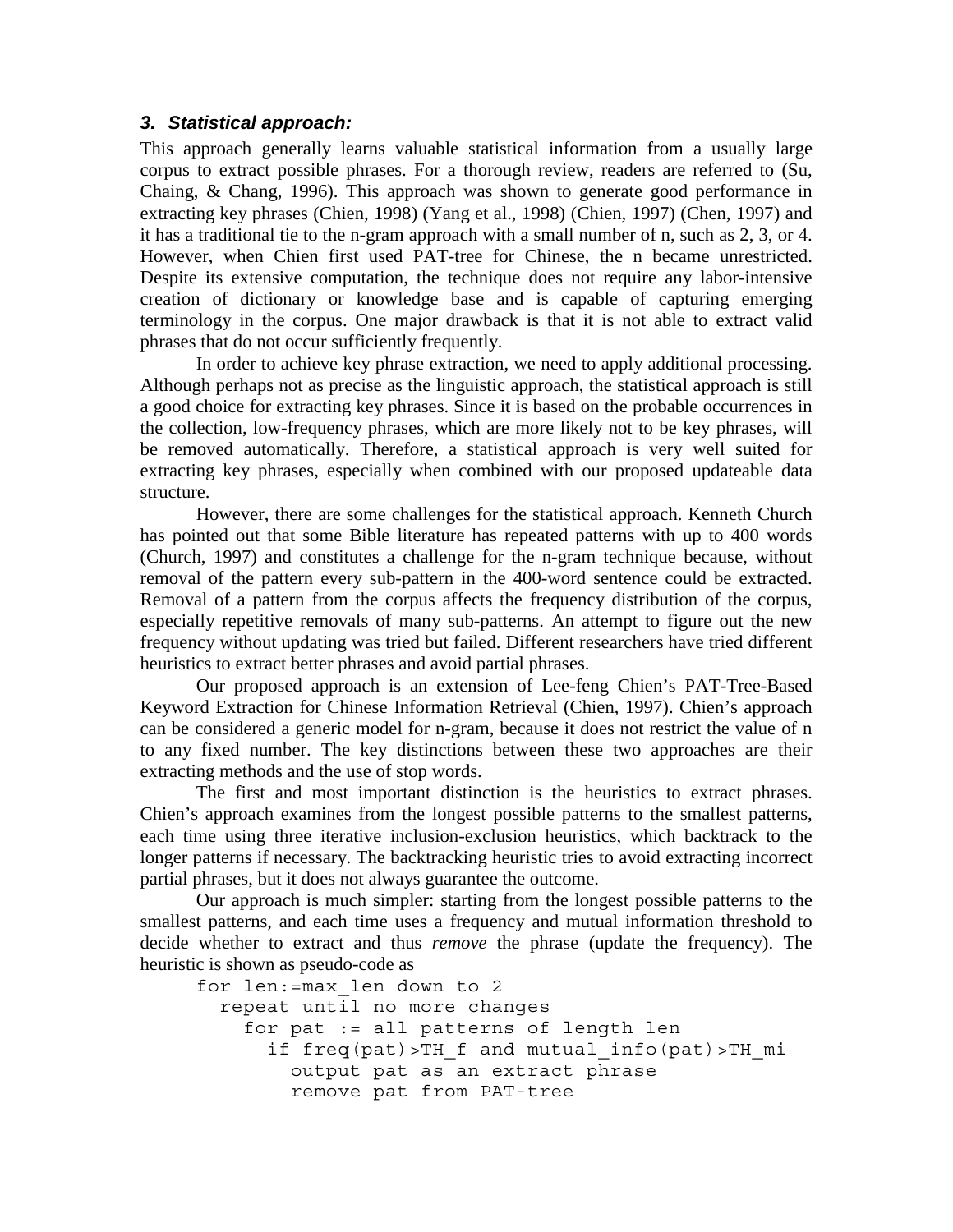#### *3. Statistical approach:*

This approach generally learns valuable statistical information from a usually large corpus to extract possible phrases. For a thorough review, readers are referred to (Su, Chaing, & Chang, 1996). This approach was shown to generate good performance in extracting key phrases (Chien, 1998) (Yang et al., 1998) (Chien, 1997) (Chen, 1997) and it has a traditional tie to the n-gram approach with a small number of n, such as 2, 3, or 4. However, when Chien first used PAT-tree for Chinese, the n became unrestricted. Despite its extensive computation, the technique does not require any labor-intensive creation of dictionary or knowledge base and is capable of capturing emerging terminology in the corpus. One major drawback is that it is not able to extract valid phrases that do not occur sufficiently frequently.

In order to achieve key phrase extraction, we need to apply additional processing. Although perhaps not as precise as the linguistic approach, the statistical approach is still a good choice for extracting key phrases. Since it is based on the probable occurrences in the collection, low-frequency phrases, which are more likely not to be key phrases, will be removed automatically. Therefore, a statistical approach is very well suited for extracting key phrases, especially when combined with our proposed updateable data structure.

However, there are some challenges for the statistical approach. Kenneth Church has pointed out that some Bible literature has repeated patterns with up to 400 words (Church, 1997) and constitutes a challenge for the n-gram technique because, without removal of the pattern every sub-pattern in the 400-word sentence could be extracted. Removal of a pattern from the corpus affects the frequency distribution of the corpus, especially repetitive removals of many sub-patterns. An attempt to figure out the new frequency without updating was tried but failed. Different researchers have tried different heuristics to extract better phrases and avoid partial phrases.

Our proposed approach is an extension of Lee-feng Chien's PAT-Tree-Based Keyword Extraction for Chinese Information Retrieval (Chien, 1997). Chien's approach can be considered a generic model for n-gram, because it does not restrict the value of n to any fixed number. The key distinctions between these two approaches are their extracting methods and the use of stop words.

The first and most important distinction is the heuristics to extract phrases. Chien's approach examines from the longest possible patterns to the smallest patterns, each time using three iterative inclusion-exclusion heuristics, which backtrack to the longer patterns if necessary. The backtracking heuristic tries to avoid extracting incorrect partial phrases, but it does not always guarantee the outcome.

Our approach is much simpler: starting from the longest possible patterns to the smallest patterns, and each time uses a frequency and mutual information threshold to decide whether to extract and thus *remove* the phrase (update the frequency). The heuristic is shown as pseudo-code as

```
for len:=max_len down to 2
  repeat until no more changes
     for pat := all patterns of length len
       if freq(pat)>TH_f and mutual_info(pat)>TH_mi
         output pat as an extract phrase
         remove pat from PAT-tree
```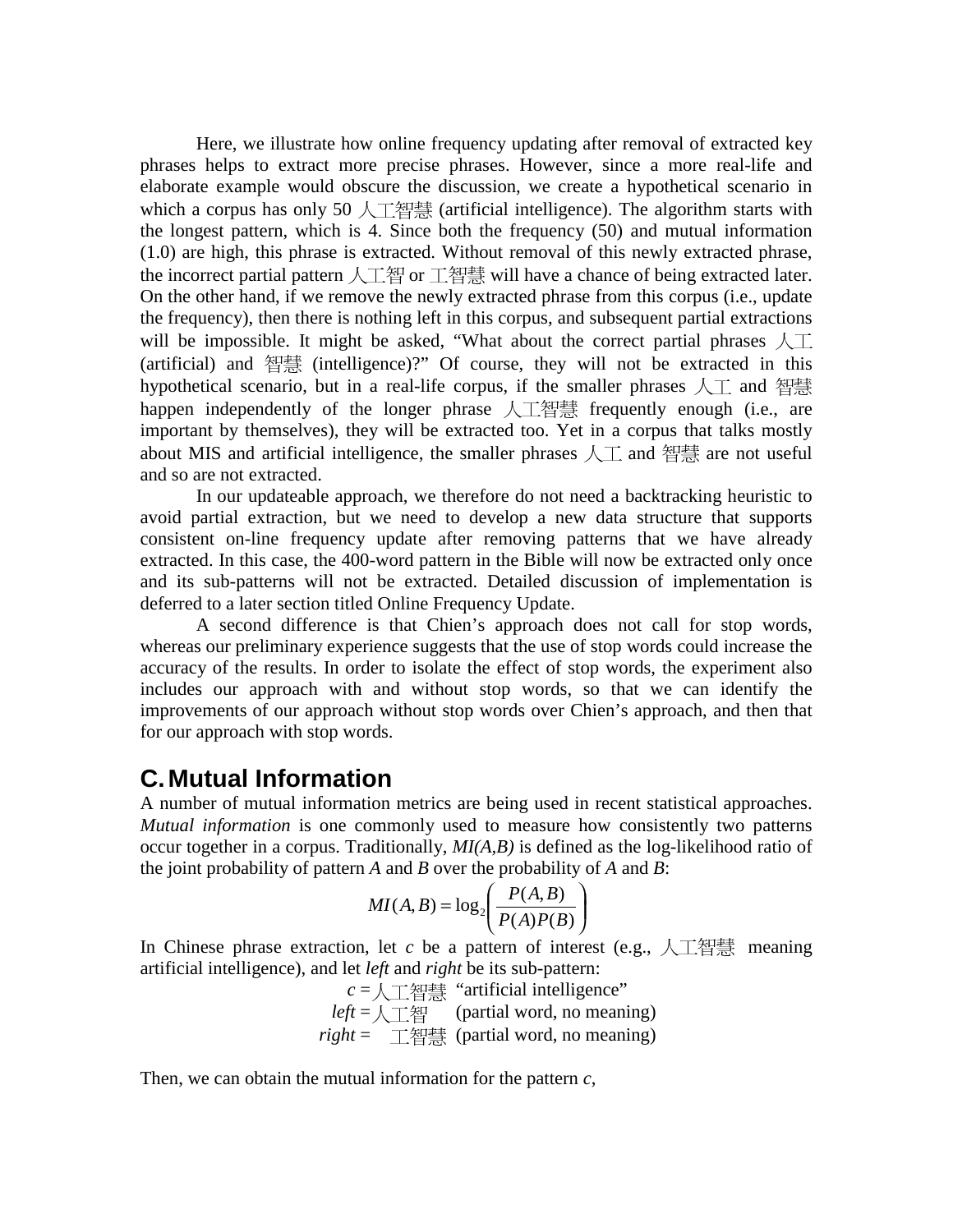Here, we illustrate how online frequency updating after removal of extracted key phrases helps to extract more precise phrases. However, since a more real-life and elaborate example would obscure the discussion, we create a hypothetical scenario in which a corpus has only 50 人工智慧 (artificial intelligence). The algorithm starts with the longest pattern, which is 4. Since both the frequency (50) and mutual information (1.0) are high, this phrase is extracted. Without removal of this newly extracted phrase, the incorrect partial pattern 人工智 or 工智慧 will have a chance of being extracted later. On the other hand, if we remove the newly extracted phrase from this corpus (i.e., update the frequency), then there is nothing left in this corpus, and subsequent partial extractions will be impossible. It might be asked, "What about the correct partial phrases  $\mathcal{A}$ . (artificial) and  $4\frac{1}{3}$  (intelligence)?" Of course, they will not be extracted in this hypothetical scenario, but in a real-life corpus, if the smaller phrases  $\lambda$ ,  $\bar{\Lambda}$  and  $\bar{\Lambda}$ happen independently of the longer phrase  $\Lambda$   $\mathbb{Z}$  are frequently enough (i.e., are important by themselves), they will be extracted too. Yet in a corpus that talks mostly about MIS and artificial intelligence, the smaller phrases  $\sqrt{\perp}$  and 智慧 are not useful and so are not extracted.

In our updateable approach, we therefore do not need a backtracking heuristic to avoid partial extraction, but we need to develop a new data structure that supports consistent on-line frequency update after removing patterns that we have already extracted. In this case, the 400-word pattern in the Bible will now be extracted only once and its sub-patterns will not be extracted. Detailed discussion of implementation is deferred to a later section titled Online Frequency Update.

A second difference is that Chien's approach does not call for stop words, whereas our preliminary experience suggests that the use of stop words could increase the accuracy of the results. In order to isolate the effect of stop words, the experiment also includes our approach with and without stop words, so that we can identify the improvements of our approach without stop words over Chien's approach, and then that for our approach with stop words.

## **C. Mutual Information**

A number of mutual information metrics are being used in recent statistical approaches. *Mutual information* is one commonly used to measure how consistently two patterns occur together in a corpus. Traditionally, *MI(A,B)* is defined as the log-likelihood ratio of the joint probability of pattern *A* and *B* over the probability of *A* and *B*:

$$
MI(A, B) = \log_2\left(\frac{P(A, B)}{P(A)P(B)}\right)
$$

In Chinese phrase extraction, let *c* be a pattern of interest (e.g.,  $\Lambda \perp \mathbb{H}$ ) meaning artificial intelligence), and let *left* and *right* be its sub-pattern:

> $c = \sqrt{\frac{m}{m}}$  "artificial intelligence"  $left = \setminus \perp \mathcal{E}$  (partial word, no meaning)  $right =$   $\top$ 智慧 (partial word, no meaning)

Then, we can obtain the mutual information for the pattern *c*,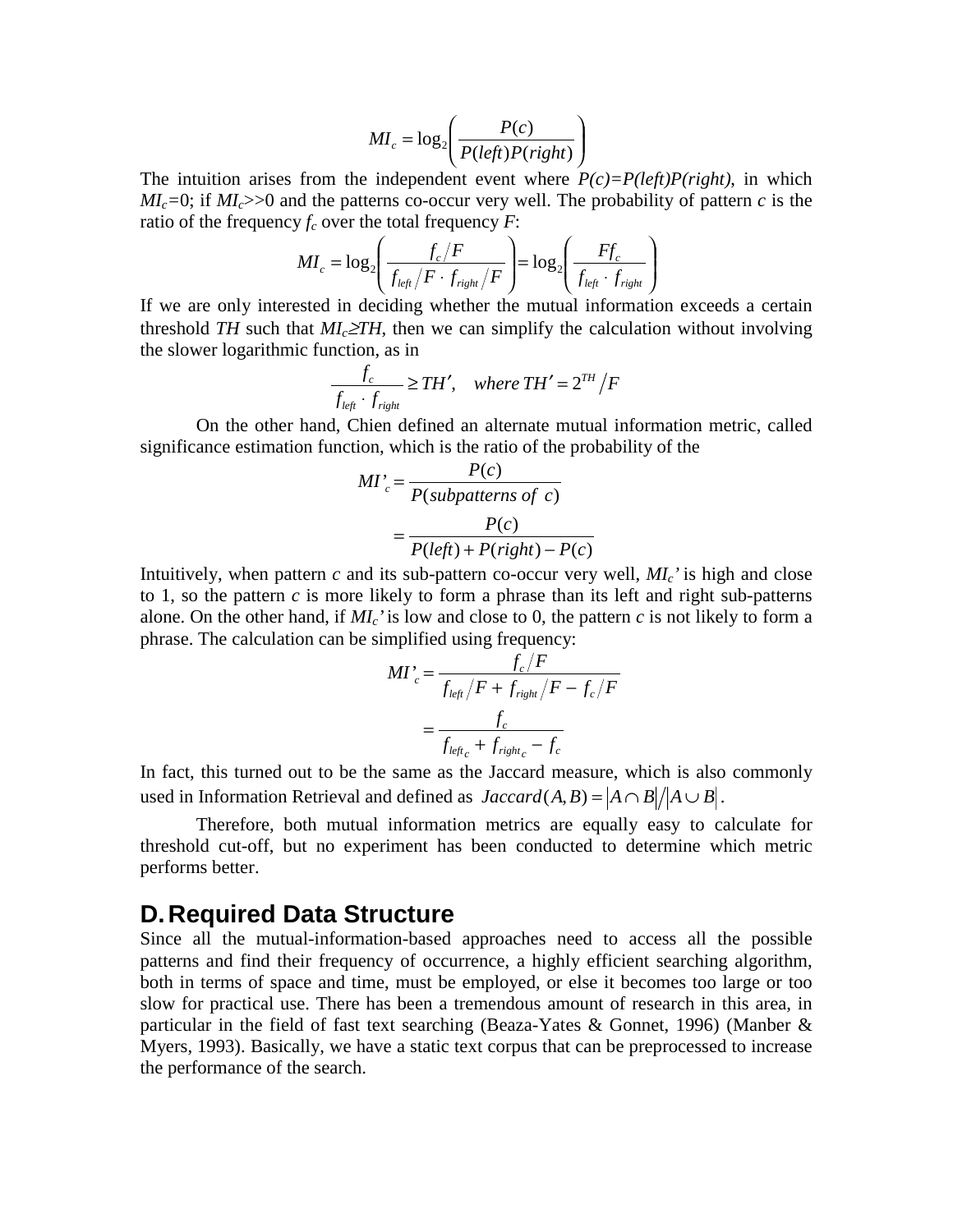$$
MI_c = \log_2\left(\frac{P(c)}{P(left)P(right)}\right)
$$

The intuition arises from the independent event where  $P(c)=P(left)P(right)$ , in which  $ML_c=0$ ; if  $ML_c>>0$  and the patterns co-occur very well. The probability of pattern *c* is the ratio of the frequency  $f_c$  over the total frequency  $F$ :

$$
MI_c = \log_2 \left( \frac{f_c/F}{f_{left}/F \cdot f_{right}/F} \right) = \log_2 \left( \frac{Ff_c}{f_{left} \cdot f_{right}} \right)
$$

If we are only interested in deciding whether the mutual information exceeds a certain threshold *TH* such that  $MI_c \geq TH$ , then we can simplify the calculation without involving the slower logarithmic function, as in

$$
\frac{f_c}{f_{left} \cdot f_{right}} \geq TH', \quad where \ TH' = 2^{TH}/F
$$

On the other hand, Chien defined an alternate mutual information metric, called significance estimation function, which is the ratio of the probability of the

$$
MI'_{c} = \frac{P(c)}{P(subpatterns of c)}
$$

$$
= \frac{P(c)}{P(left) + P(right) - P(c)}
$$

Intuitively, when pattern  $c$  and its sub-pattern co-occur very well,  $ML$ <sup> $\cdot$ </sup> is high and close to 1, so the pattern *c* is more likely to form a phrase than its left and right sub-patterns alone. On the other hand, if  $MI_c$  is low and close to 0, the pattern *c* is not likely to form a phrase. The calculation can be simplified using frequency:

$$
MI'_{c} = \frac{f_{c}/F}{f_{left}/F + f_{right}/F - f_{c}/F}
$$

$$
= \frac{f_{c}}{f_{left_{c}} + f_{right_{c}} - f_{c}}
$$

In fact, this turned out to be the same as the Jaccard measure, which is also commonly used in Information Retrieval and defined as  $Jaccard(A, B) = |A \cap B| / |A \cup B|$ .

Therefore, both mutual information metrics are equally easy to calculate for threshold cut-off, but no experiment has been conducted to determine which metric performs better.

### **D. Required Data Structure**

Since all the mutual-information-based approaches need to access all the possible patterns and find their frequency of occurrence, a highly efficient searching algorithm, both in terms of space and time, must be employed, or else it becomes too large or too slow for practical use. There has been a tremendous amount of research in this area, in particular in the field of fast text searching (Beaza-Yates & Gonnet, 1996) (Manber & Myers, 1993). Basically, we have a static text corpus that can be preprocessed to increase the performance of the search.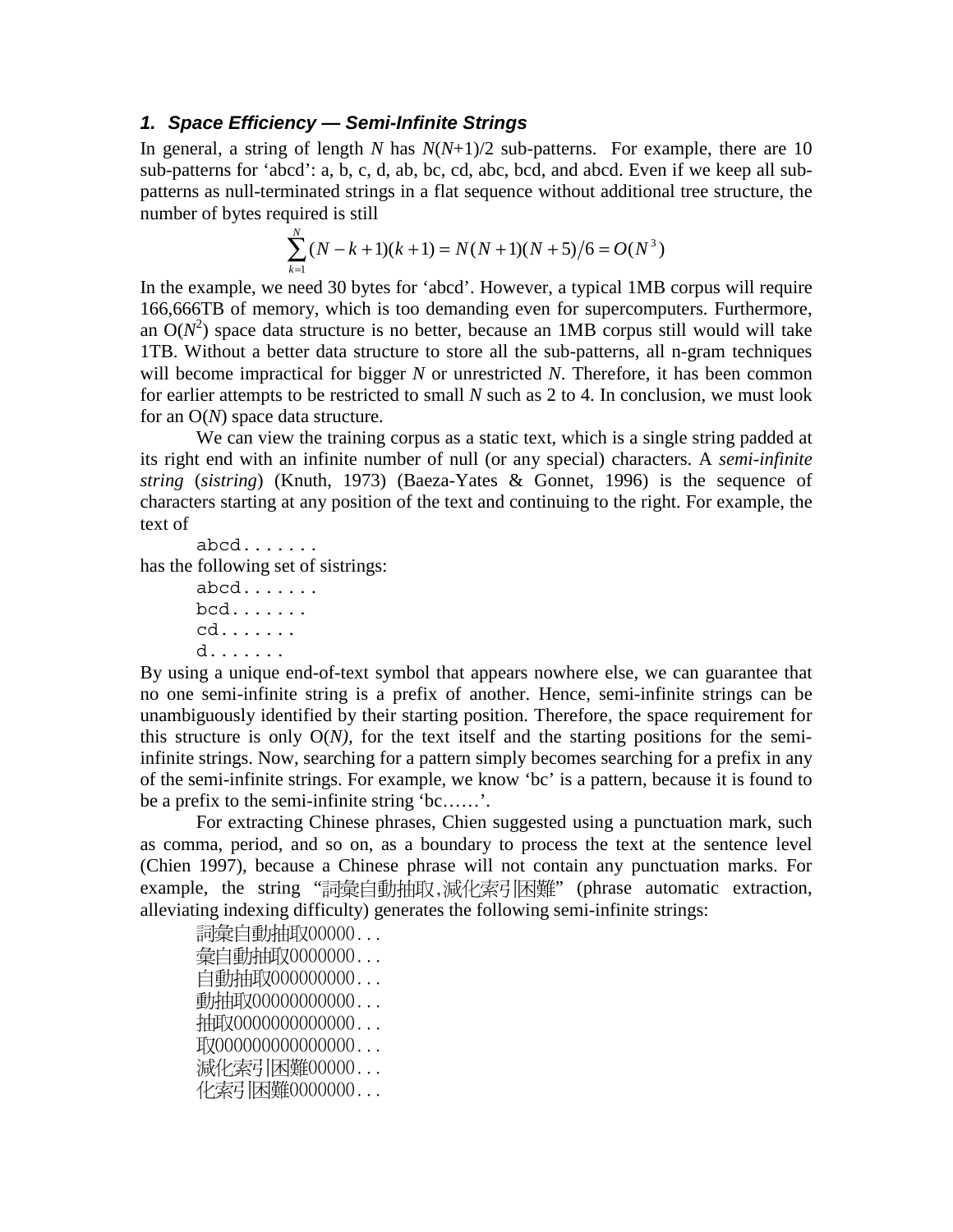#### *1. Space Efficiency — Semi-Infinite Strings*

In general, a string of length *N* has *N*(*N*+1)/2 sub-patterns. For example, there are 10 sub-patterns for 'abcd': a, b, c, d, ab, bc, cd, abc, bcd, and abcd. Even if we keep all subpatterns as null-terminated strings in a flat sequence without additional tree structure, the number of bytes required is still

$$
\sum_{k=1}^{N} (N - k + 1)(k + 1) = N(N + 1)(N + 5)/6 = O(N^{3})
$$

In the example, we need 30 bytes for 'abcd'. However, a typical 1MB corpus will require 166,666TB of memory, which is too demanding even for supercomputers. Furthermore, an  $O(N^2)$  space data structure is no better, because an 1MB corpus still would will take 1TB. Without a better data structure to store all the sub-patterns, all n-gram techniques will become impractical for bigger *N* or unrestricted *N*. Therefore, it has been common for earlier attempts to be restricted to small *N* such as 2 to 4. In conclusion, we must look for an O(*N*) space data structure.

We can view the training corpus as a static text, which is a single string padded at its right end with an infinite number of null (or any special) characters. A *semi-infinite string* (*sistring*) (Knuth, 1973) (Baeza-Yates & Gonnet, 1996) is the sequence of characters starting at any position of the text and continuing to the right. For example, the text of

```
abcd.......
has the following set of sistrings:
```
abcd....... bcd....... cd....... d.......

By using a unique end-of-text symbol that appears nowhere else, we can guarantee that no one semi-infinite string is a prefix of another. Hence, semi-infinite strings can be unambiguously identified by their starting position. Therefore, the space requirement for this structure is only O(*N),* for the text itself and the starting positions for the semiinfinite strings. Now, searching for a pattern simply becomes searching for a prefix in any of the semi-infinite strings. For example, we know 'bc' is a pattern, because it is found to be a prefix to the semi-infinite string 'bc……'.

For extracting Chinese phrases, Chien suggested using a punctuation mark, such as comma, period, and so on, as a boundary to process the text at the sentence level (Chien 1997), because a Chinese phrase will not contain any punctuation marks. For example,the string "詞彙自動抽取,減化索引困難" (phrase automatic extraction, alleviating indexing difficulty) generates the following semi-infinite strings:

詞彙自動抽取00000... 彙自動抽取0000000... 自動抽取000000000... 動抽取00000000000... 抽取0000000000000... 取000000000000000... 減化索引困難00000... 化索引困難0000000...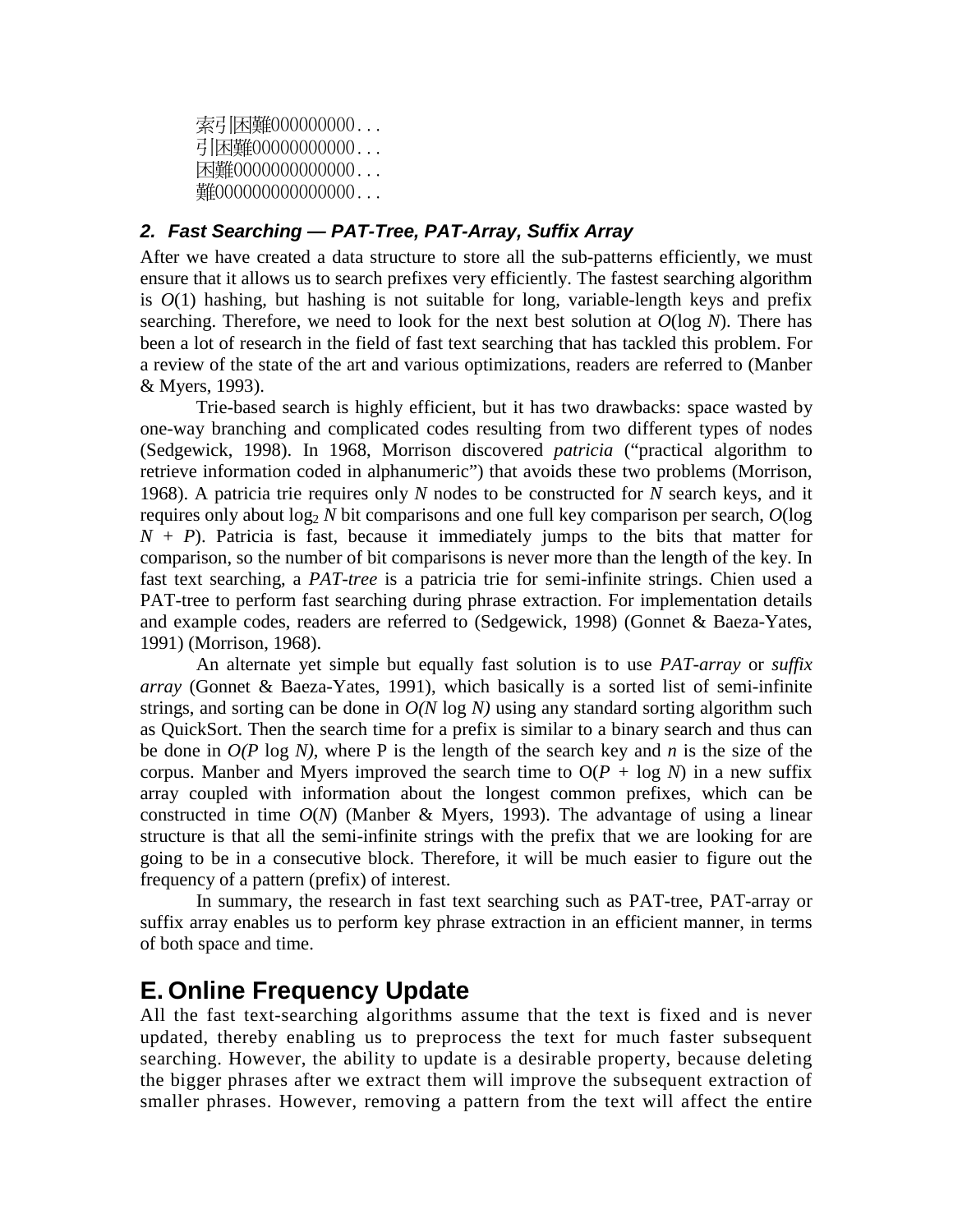索引困難000000000... 引困難00000000000... 困難0000000000000... 難000000000000000...

#### *2. Fast Searching — PAT-Tree, PAT-Array, Suffix Array*

After we have created a data structure to store all the sub-patterns efficiently, we must ensure that it allows us to search prefixes very efficiently. The fastest searching algorithm is  $O(1)$  hashing, but hashing is not suitable for long, variable-length keys and prefix searching. Therefore, we need to look for the next best solution at *O*(log *N*). There has been a lot of research in the field of fast text searching that has tackled this problem. For a review of the state of the art and various optimizations, readers are referred to (Manber & Myers, 1993).

Trie-based search is highly efficient, but it has two drawbacks: space wasted by one-way branching and complicated codes resulting from two different types of nodes (Sedgewick, 1998). In 1968, Morrison discovered *patricia* ("practical algorithm to retrieve information coded in alphanumeric") that avoids these two problems (Morrison, 1968). A patricia trie requires only *N* nodes to be constructed for *N* search keys, and it requires only about  $\log_2 N$  bit comparisons and one full key comparison per search,  $O(\log n)$  $N + P$ ). Patricia is fast, because it immediately jumps to the bits that matter for comparison, so the number of bit comparisons is never more than the length of the key. In fast text searching, a *PAT-tree* is a patricia trie for semi-infinite strings. Chien used a PAT-tree to perform fast searching during phrase extraction. For implementation details and example codes, readers are referred to (Sedgewick, 1998) (Gonnet & Baeza-Yates, 1991) (Morrison, 1968).

An alternate yet simple but equally fast solution is to use *PAT-array* or *suffix array* (Gonnet & Baeza-Yates, 1991), which basically is a sorted list of semi-infinite strings, and sorting can be done in *O(N* log *N)* using any standard sorting algorithm such as QuickSort. Then the search time for a prefix is similar to a binary search and thus can be done in *O(P* log *N)*, where P is the length of the search key and *n* is the size of the corpus. Manber and Myers improved the search time to  $O(P + \log N)$  in a new suffix array coupled with information about the longest common prefixes, which can be constructed in time  $O(N)$  (Manber & Myers, 1993). The advantage of using a linear structure is that all the semi-infinite strings with the prefix that we are looking for are going to be in a consecutive block. Therefore, it will be much easier to figure out the frequency of a pattern (prefix) of interest.

In summary, the research in fast text searching such as PAT-tree, PAT-array or suffix array enables us to perform key phrase extraction in an efficient manner, in terms of both space and time.

## **E. Online Frequency Update**

All the fast text-searching algorithms assume that the text is fixed and is never updated, thereby enabling us to preprocess the text for much faster subsequent searching. However, the ability to update is a desirable property, because deleting the bigger phrases after we extract them will improve the subsequent extraction of smaller phrases. However, removing a pattern from the text will affect the entire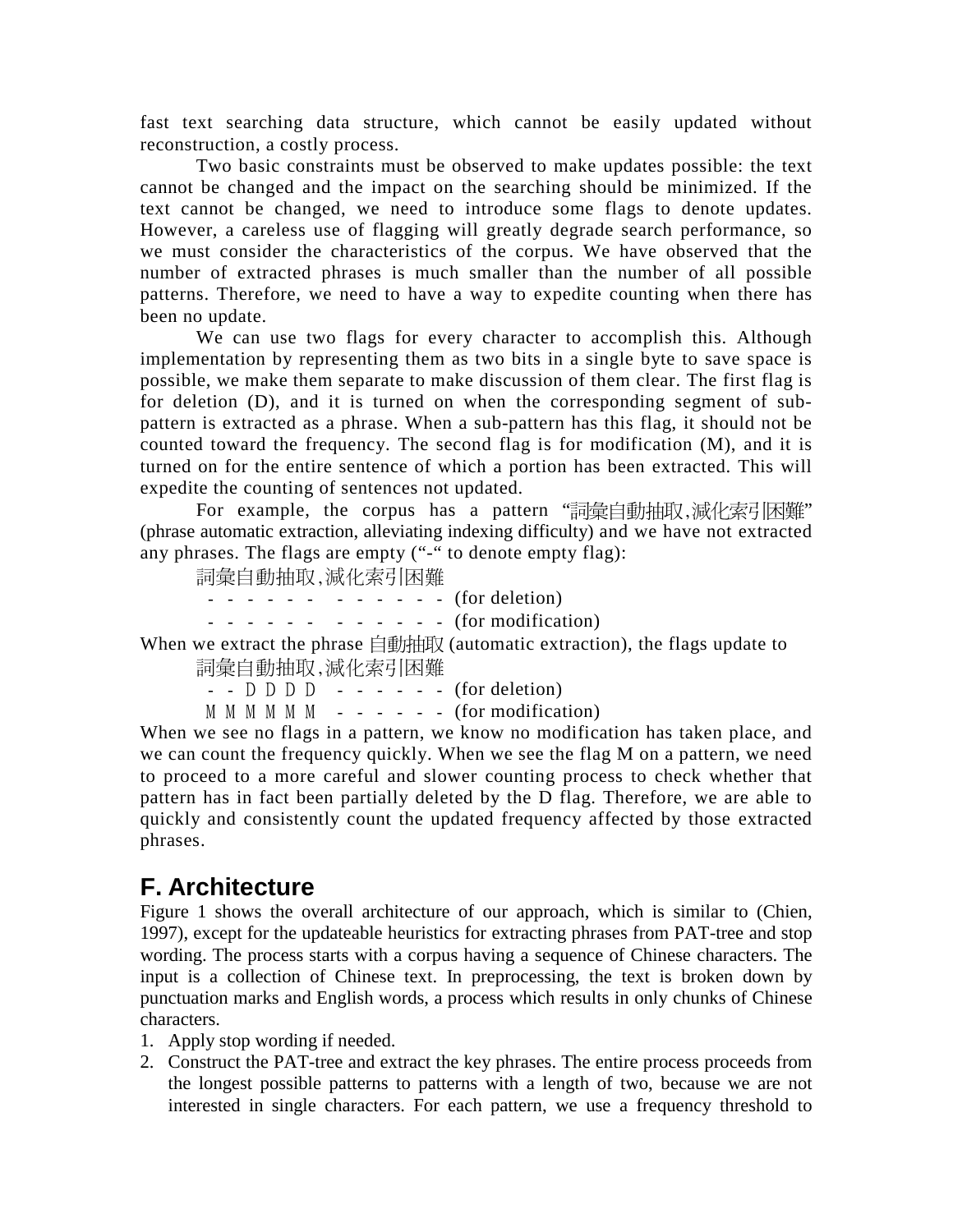fast text searching data structure, which cannot be easily updated without reconstruction, a costly process.

Two basic constraints must be observed to make updates possible: the text cannot be changed and the impact on the searching should be minimized. If the text cannot be changed, we need to introduce some flags to denote updates. However, a careless use of flagging will greatly degrade search performance, so we must consider the characteristics of the corpus. We have observed that the number of extracted phrases is much smaller than the number of all possible patterns. Therefore, we need to have a way to expedite counting when there has been no update.

We can use two flags for every character to accomplish this. Although implementation by representing them as two bits in a single byte to save space is possible, we make them separate to make discussion of them clear. The first flag is for deletion (D), and it is turned on when the corresponding segment of subpattern is extracted as a phrase. When a sub-pattern has this flag, it should not be counted toward the frequency. The second flag is for modification (M), and it is turned on for the entire sentence of which a portion has been extracted. This will expedite the counting of sentences not updated.

For example,the corpus has a pattern "詞彙自動抽取,減化索引困難" (phrase automatic extraction, alleviating indexing difficulty) and we have not extracted any phrases. The flags are empty ("-" to denote empty flag):

-

 $- - - - - - - - - - -$  (for deletion)

 $- - - - - - - - - - -$  (for modification)

When we extract the phrase  $\text{im}$   $\mathbb{R}$  (automatic extraction), the flags update to -

 $-$  D D D  $-$  (for deletion)

 $M M M M M = - - - -$  (for modification)

When we see no flags in a pattern, we know no modification has taken place, and we can count the frequency quickly. When we see the flag M on a pattern, we need to proceed to a more careful and slower counting process to check whether that pattern has in fact been partially deleted by the D flag. Therefore, we are able to quickly and consistently count the updated frequency affected by those extracted phrases.

## **F. Architecture**

Figure 1 shows the overall architecture of our approach, which is similar to (Chien, 1997), except for the updateable heuristics for extracting phrases from PAT-tree and stop wording. The process starts with a corpus having a sequence of Chinese characters. The input is a collection of Chinese text. In preprocessing, the text is broken down by punctuation marks and English words, a process which results in only chunks of Chinese characters.

- 1. Apply stop wording if needed.
- 2. Construct the PAT-tree and extract the key phrases. The entire process proceeds from the longest possible patterns to patterns with a length of two, because we are not interested in single characters. For each pattern, we use a frequency threshold to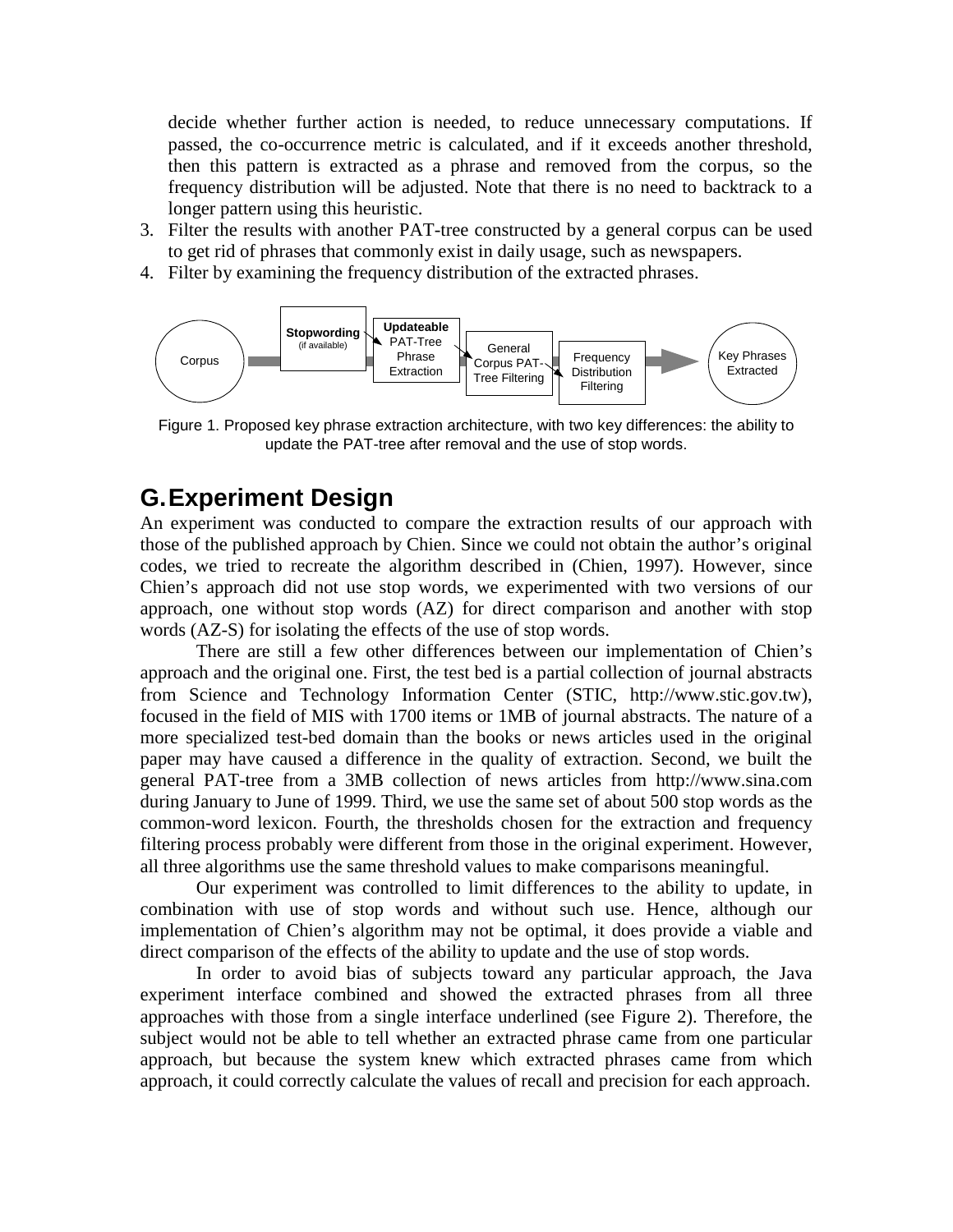decide whether further action is needed, to reduce unnecessary computations. If passed, the co-occurrence metric is calculated, and if it exceeds another threshold, then this pattern is extracted as a phrase and removed from the corpus, so the frequency distribution will be adjusted. Note that there is no need to backtrack to a longer pattern using this heuristic.

- 3. Filter the results with another PAT-tree constructed by a general corpus can be used to get rid of phrases that commonly exist in daily usage, such as newspapers.
- 4. Filter by examining the frequency distribution of the extracted phrases.



Figure 1. Proposed key phrase extraction architecture, with two key differences: the ability to update the PAT-tree after removal and the use of stop words.

## **G. Experiment Design**

An experiment was conducted to compare the extraction results of our approach with those of the published approach by Chien. Since we could not obtain the author's original codes, we tried to recreate the algorithm described in (Chien, 1997). However, since Chien's approach did not use stop words, we experimented with two versions of our approach, one without stop words (AZ) for direct comparison and another with stop words (AZ-S) for isolating the effects of the use of stop words.

There are still a few other differences between our implementation of Chien's approach and the original one. First, the test bed is a partial collection of journal abstracts from Science and Technology Information Center (STIC, http://www.stic.gov.tw), focused in the field of MIS with 1700 items or 1MB of journal abstracts. The nature of a more specialized test-bed domain than the books or news articles used in the original paper may have caused a difference in the quality of extraction. Second, we built the general PAT-tree from a 3MB collection of news articles from http://www.sina.com during January to June of 1999. Third, we use the same set of about 500 stop words as the common-word lexicon. Fourth, the thresholds chosen for the extraction and frequency filtering process probably were different from those in the original experiment. However, all three algorithms use the same threshold values to make comparisons meaningful.

Our experiment was controlled to limit differences to the ability to update, in combination with use of stop words and without such use. Hence, although our implementation of Chien's algorithm may not be optimal, it does provide a viable and direct comparison of the effects of the ability to update and the use of stop words.

In order to avoid bias of subjects toward any particular approach, the Java experiment interface combined and showed the extracted phrases from all three approaches with those from a single interface underlined (see Figure 2). Therefore, the subject would not be able to tell whether an extracted phrase came from one particular approach, but because the system knew which extracted phrases came from which approach, it could correctly calculate the values of recall and precision for each approach.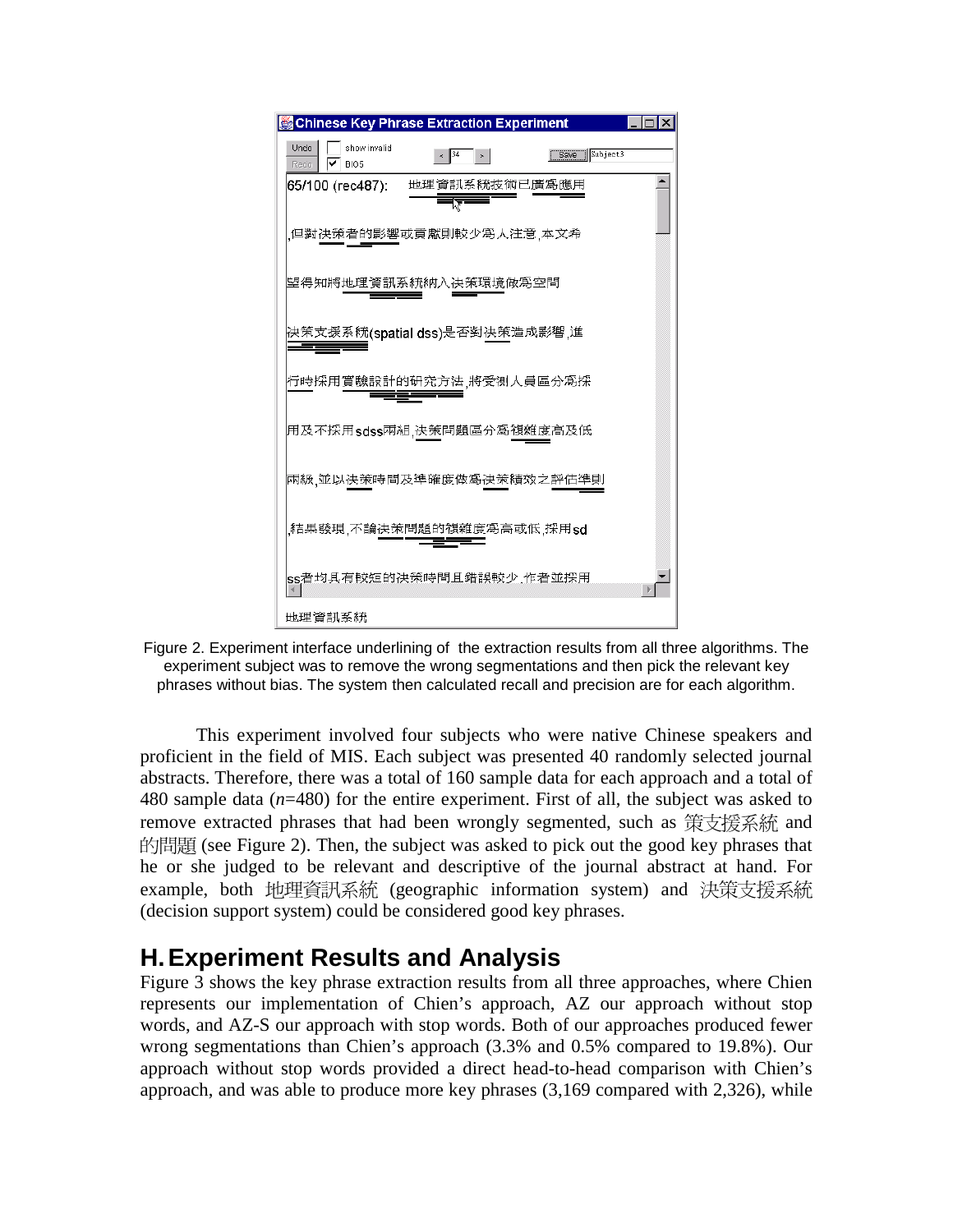



This experiment involved four subjects who were native Chinese speakers and proficient in the field of MIS. Each subject was presented 40 randomly selected journal abstracts. Therefore, there was a total of 160 sample data for each approach and a total of 480 sample data (*n*=480) for the entire experiment. First of all, the subject was asked to remove extracted phrases that had been wrongly segmented, such as 策支援系統 and 的問題 (see Figure 2). Then, the subject was asked to pick out the good key phrases that he or she judged to be relevant and descriptive of the journal abstract at hand. For example, both 地理資訊系統 (geographic information system) and 決策支援系統 (decision support system) could be considered good key phrases.

## **H. Experiment Results and Analysis**

Figure 3 shows the key phrase extraction results from all three approaches, where Chien represents our implementation of Chien's approach, AZ our approach without stop words, and AZ-S our approach with stop words. Both of our approaches produced fewer wrong segmentations than Chien's approach (3.3% and 0.5% compared to 19.8%). Our approach without stop words provided a direct head-to-head comparison with Chien's approach, and was able to produce more key phrases (3,169 compared with 2,326), while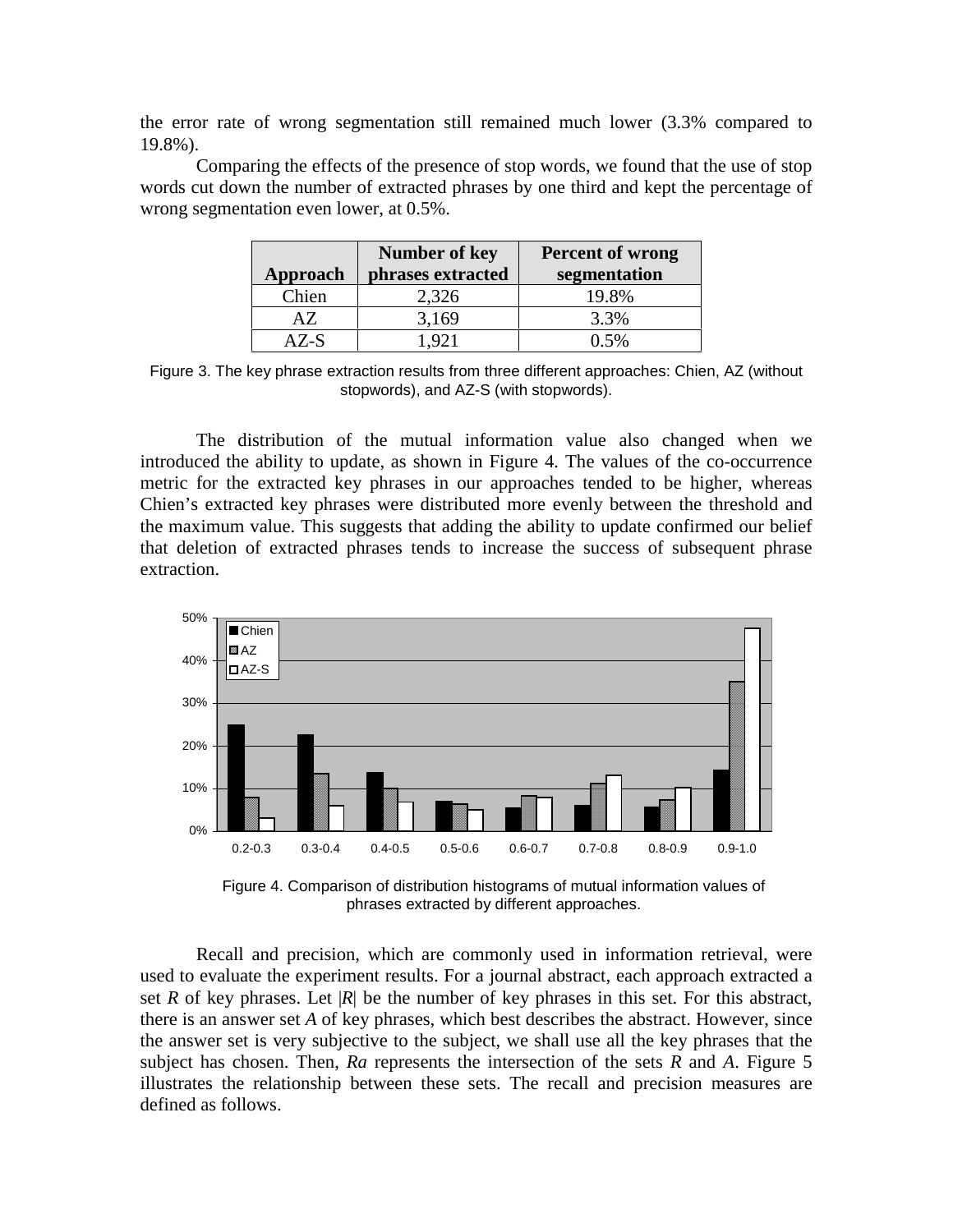the error rate of wrong segmentation still remained much lower (3.3% compared to 19.8%).

Comparing the effects of the presence of stop words, we found that the use of stop words cut down the number of extracted phrases by one third and kept the percentage of wrong segmentation even lower, at 0.5%.

| Approach | <b>Number of key</b><br>phrases extracted | <b>Percent of wrong</b><br>segmentation |
|----------|-------------------------------------------|-----------------------------------------|
| Chien    | 2,326                                     | 19.8%                                   |
| AZ.      | 3,169                                     | 3.3%                                    |
| A Z-S    |                                           | በ 5%                                    |

Figure 3. The key phrase extraction results from three different approaches: Chien, AZ (without stopwords), and AZ-S (with stopwords).

The distribution of the mutual information value also changed when we introduced the ability to update, as shown in Figure 4. The values of the co-occurrence metric for the extracted key phrases in our approaches tended to be higher, whereas Chien's extracted key phrases were distributed more evenly between the threshold and the maximum value. This suggests that adding the ability to update confirmed our belief that deletion of extracted phrases tends to increase the success of subsequent phrase extraction.



Figure 4. Comparison of distribution histograms of mutual information values of phrases extracted by different approaches.

Recall and precision, which are commonly used in information retrieval, were used to evaluate the experiment results. For a journal abstract, each approach extracted a set *R* of key phrases. Let  $|R|$  be the number of key phrases in this set. For this abstract, there is an answer set *A* of key phrases, which best describes the abstract. However, since the answer set is very subjective to the subject, we shall use all the key phrases that the subject has chosen. Then, *Ra* represents the intersection of the sets *R* and *A*. Figure 5 illustrates the relationship between these sets. The recall and precision measures are defined as follows.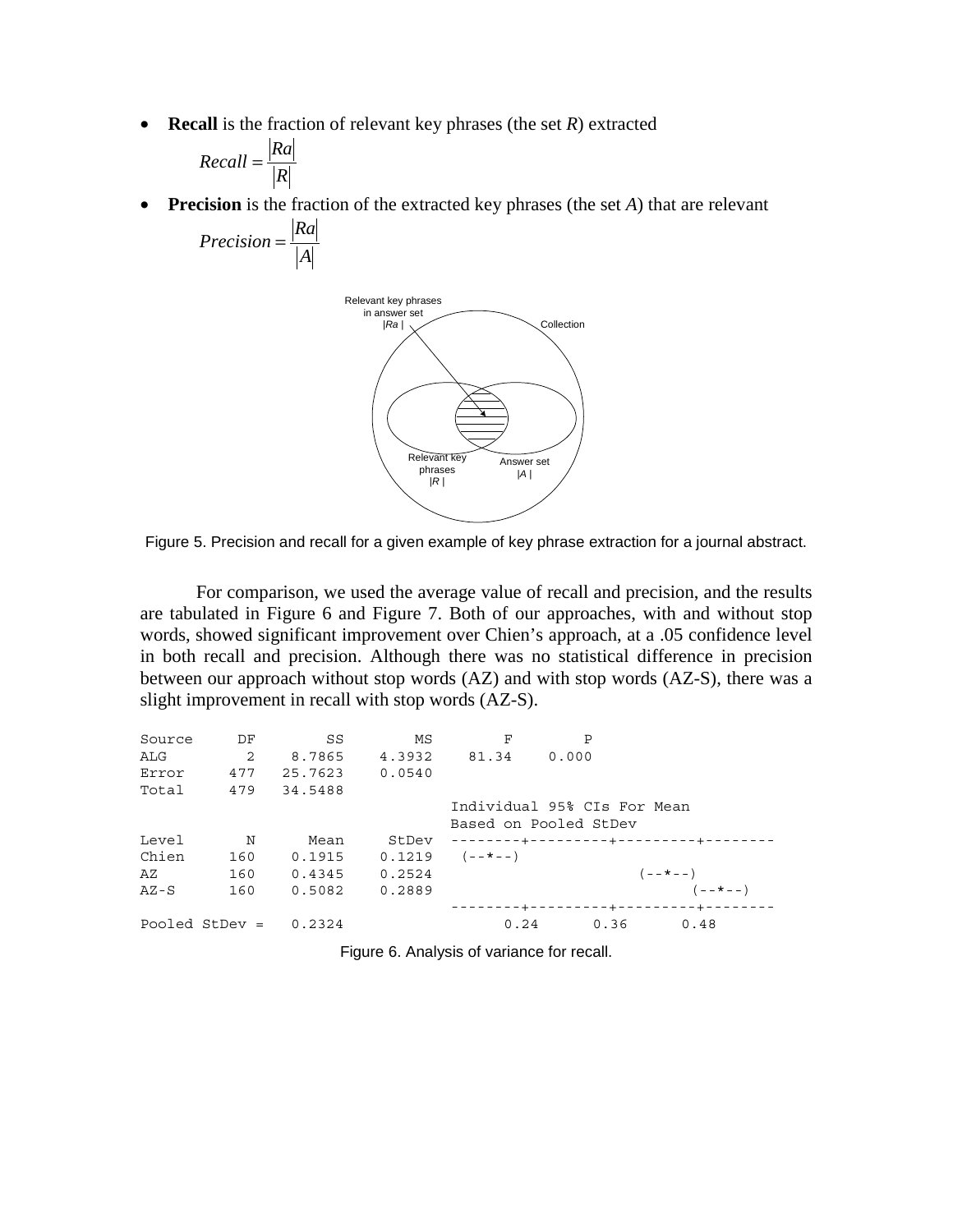• **Recall** is the fraction of relevant key phrases (the set *R*) extracted

$$
Recall = \frac{|Ra|}{|R|}
$$

• **Precision** is the fraction of the extracted key phrases (the set *A*) that are relevant

$$
Precision = \frac{|Ra|}{|A|}
$$





For comparison, we used the average value of recall and precision, and the results are tabulated in Figure 6 and Figure 7. Both of our approaches, with and without stop words, showed significant improvement over Chien's approach, at a .05 confidence level in both recall and precision. Although there was no statistical difference in precision between our approach without stop words (AZ) and with stop words (AZ-S), there was a slight improvement in recall with stop words (AZ-S).

| Source | DF               | SS      | ΜS     | F                     | P                           |                                        |
|--------|------------------|---------|--------|-----------------------|-----------------------------|----------------------------------------|
| ALG    | $\overline{2}$   | 8.7865  | 4.3932 | 81.34                 | 0.000                       |                                        |
| Error  | 477              | 25.7623 | 0.0540 |                       |                             |                                        |
| Total  | 479              | 34.5488 |        |                       |                             |                                        |
|        |                  |         |        |                       | Individual 95% CIs For Mean |                                        |
|        |                  |         |        |                       | Based on Pooled StDev       |                                        |
| Level  | N                | Mean    | StDev  |                       |                             |                                        |
| Chien  | 160              | 0.1915  |        | $0.1219$ $(- - * - )$ |                             |                                        |
| AZ     | 160              | 0.4345  | 0.2524 |                       |                             | $(- - * - -)$                          |
| $AZ-S$ | 160              | 0.5082  | 0.2889 |                       |                             | $(- - * - -)$                          |
|        |                  |         |        |                       |                             | --------+---------+------------------- |
|        | Pooled StDev $=$ | 0.2324  |        | 0.24                  |                             | $0.36$ $0.48$                          |
|        |                  |         |        |                       |                             |                                        |

Figure 6. Analysis of variance for recall.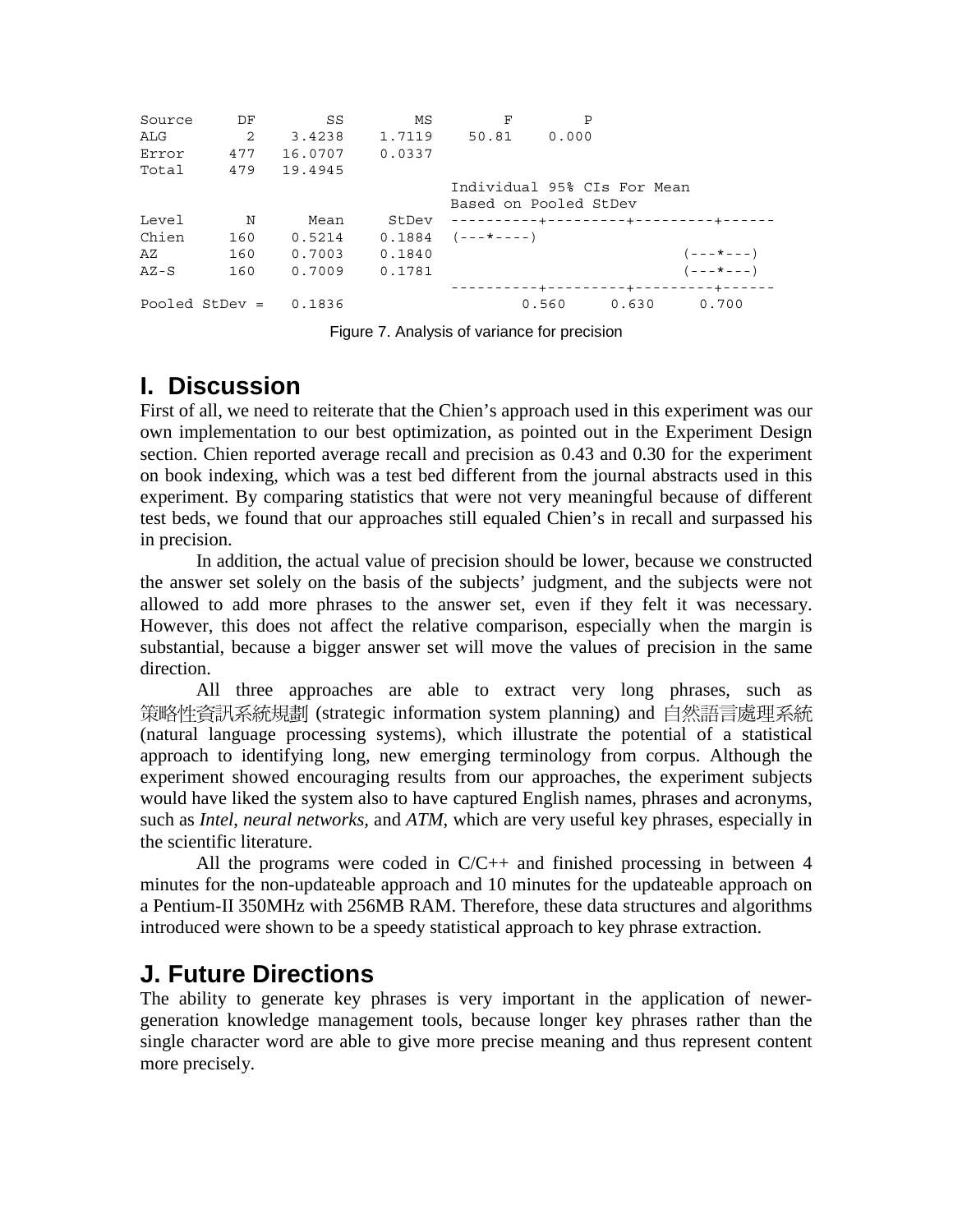| Source | DF               | SS      | ΜS     | F                           | P     |       |                                       |
|--------|------------------|---------|--------|-----------------------------|-------|-------|---------------------------------------|
| ALG    | 2                | 3.4238  | 1.7119 | 50.81                       | 0.000 |       |                                       |
| Error  | 477              | 16.0707 | 0.0337 |                             |       |       |                                       |
| Total  | 479              | 19.4945 |        |                             |       |       |                                       |
|        |                  |         |        | Individual 95% CIs For Mean |       |       |                                       |
|        |                  |         |        | Based on Pooled StDev       |       |       |                                       |
| Level  | N                | Mean    | StDev  |                             |       |       |                                       |
| Chien  | 160              | 0.5214  | 0.1884 | $(- - + - - - -)$           |       |       |                                       |
| AZ     | 160              | 0.7003  | 0.1840 |                             |       |       | $(- - + - - -)$                       |
| $AZ-S$ | 160              | 0.7009  | 0.1781 |                             |       |       | $(- - + - - -)$                       |
|        |                  |         |        |                             |       |       | ----------+---------+--------+-----+- |
|        | Pooled StDev $=$ | 0.1836  |        |                             | 0.560 | 0.630 | 0.700                                 |

Figure 7. Analysis of variance for precision

# **I. Discussion**

First of all, we need to reiterate that the Chien's approach used in this experiment was our own implementation to our best optimization, as pointed out in the Experiment Design section. Chien reported average recall and precision as 0.43 and 0.30 for the experiment on book indexing, which was a test bed different from the journal abstracts used in this experiment. By comparing statistics that were not very meaningful because of different test beds, we found that our approaches still equaled Chien's in recall and surpassed his in precision.

In addition, the actual value of precision should be lower, because we constructed the answer set solely on the basis of the subjects' judgment, and the subjects were not allowed to add more phrases to the answer set, even if they felt it was necessary. However, this does not affect the relative comparison, especially when the margin is substantial, because a bigger answer set will move the values of precision in the same direction.

All three approaches are able to extract very long phrases, such as 策略性資訊系統規劃 (strategic information system planning) and 白然語言處理系統 (natural language processing systems), which illustrate the potential of a statistical approach to identifying long, new emerging terminology from corpus. Although the experiment showed encouraging results from our approaches, the experiment subjects would have liked the system also to have captured English names, phrases and acronyms, such as *Intel*, *neural networks,* and *ATM*, which are very useful key phrases, especially in the scientific literature.

All the programs were coded in  $C/C++$  and finished processing in between 4 minutes for the non-updateable approach and 10 minutes for the updateable approach on a Pentium-II 350MHz with 256MB RAM. Therefore, these data structures and algorithms introduced were shown to be a speedy statistical approach to key phrase extraction.

# **J. Future Directions**

The ability to generate key phrases is very important in the application of newergeneration knowledge management tools, because longer key phrases rather than the single character word are able to give more precise meaning and thus represent content more precisely.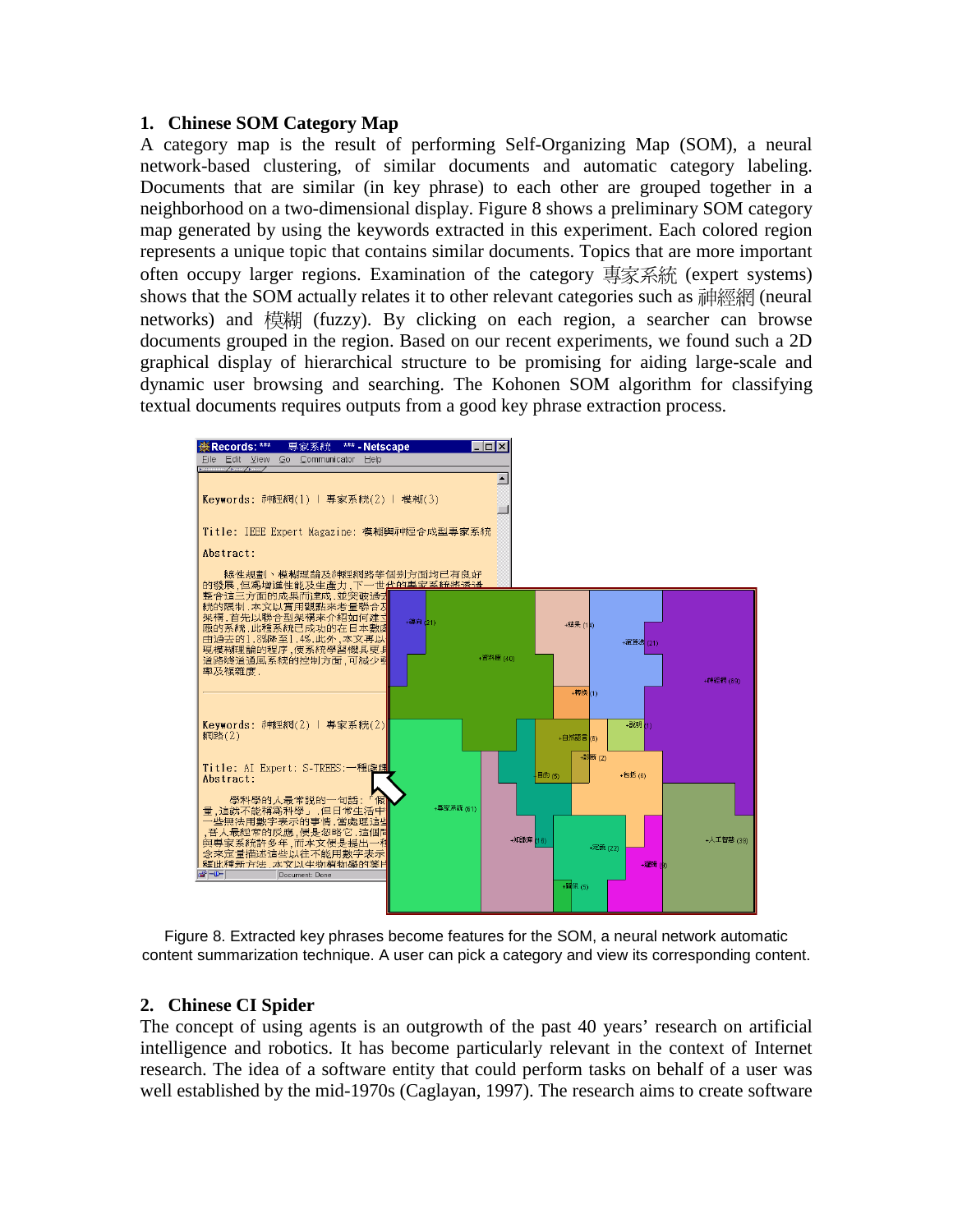#### **1. Chinese SOM Category Map**

A category map is the result of performing Self-Organizing Map (SOM), a neural network-based clustering, of similar documents and automatic category labeling. Documents that are similar (in key phrase) to each other are grouped together in a neighborhood on a two-dimensional display. Figure 8 shows a preliminary SOM category map generated by using the keywords extracted in this experiment. Each colored region represents a unique topic that contains similar documents. Topics that are more important often occupy larger regions. Examination of the category 專家系統 (expert systems) shows that the SOM actually relates it to other relevant categories such as 神經網 (neural networks) and 模糊 (fuzzy). By clicking on each region, a searcher can browse documents grouped in the region. Based on our recent experiments, we found such a 2D graphical display of hierarchical structure to be promising for aiding large-scale and dynamic user browsing and searching. The Kohonen SOM algorithm for classifying textual documents requires outputs from a good key phrase extraction process.



Figure 8. Extracted key phrases become features for the SOM, a neural network automatic content summarization technique. A user can pick a category and view its corresponding content.

### **2. Chinese CI Spider**

The concept of using agents is an outgrowth of the past 40 years' research on artificial intelligence and robotics. It has become particularly relevant in the context of Internet research. The idea of a software entity that could perform tasks on behalf of a user was well established by the mid-1970s (Caglayan, 1997). The research aims to create software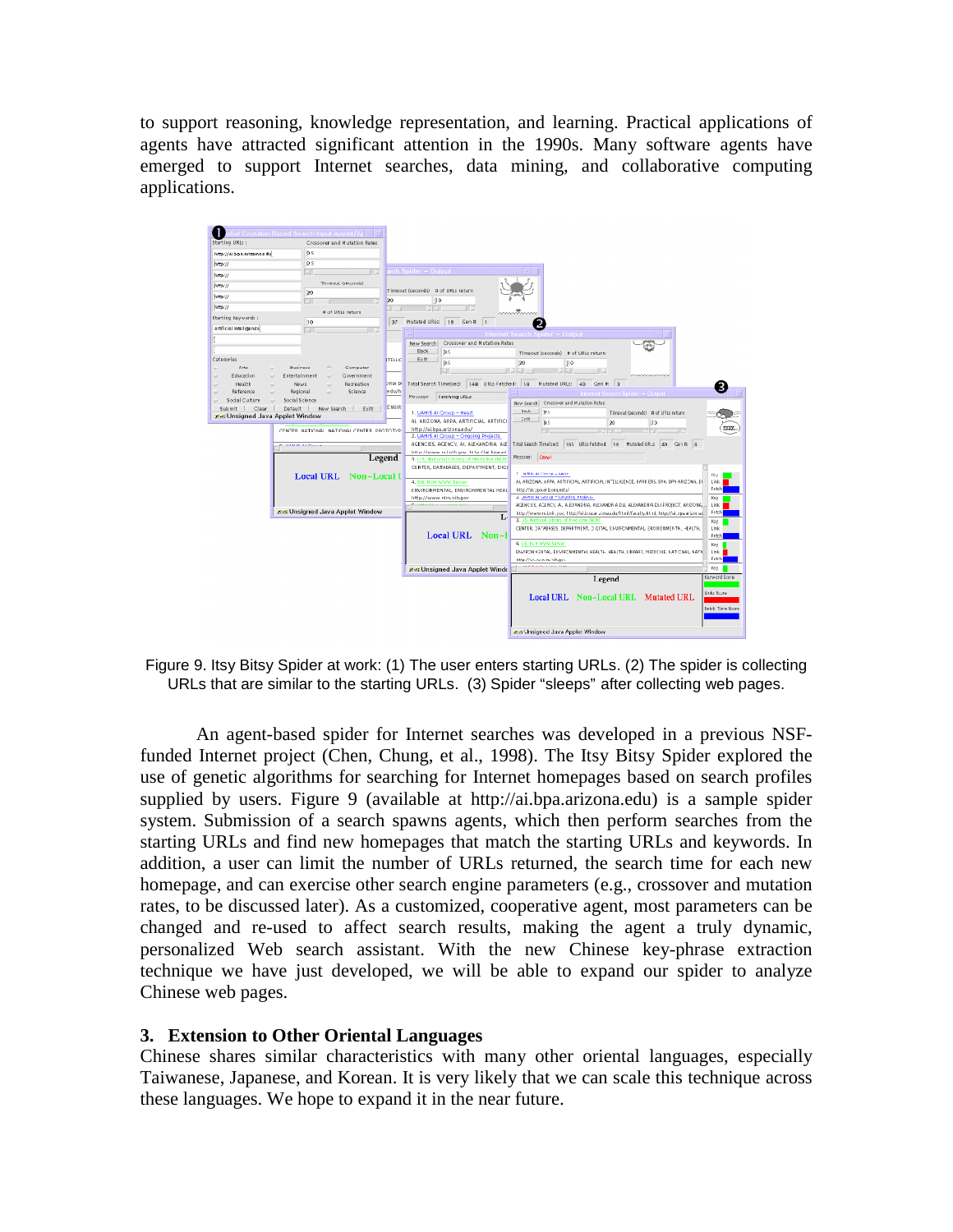to support reasoning, knowledge representation, and learning. Practical applications of agents have attracted significant attention in the 1990s. Many software agents have emerged to support Internet searches, data mining, and collaborative computing applications.



Figure 9. Itsy Bitsy Spider at work: (1) The user enters starting URLs. (2) The spider is collecting URLs that are similar to the starting URLs. (3) Spider "sleeps" after collecting web pages.

An agent-based spider for Internet searches was developed in a previous NSFfunded Internet project (Chen, Chung, et al., 1998). The Itsy Bitsy Spider explored the use of genetic algorithms for searching for Internet homepages based on search profiles supplied by users. Figure 9 (available at http://ai.bpa.arizona.edu) is a sample spider system. Submission of a search spawns agents, which then perform searches from the starting URLs and find new homepages that match the starting URLs and keywords. In addition, a user can limit the number of URLs returned, the search time for each new homepage, and can exercise other search engine parameters (e.g., crossover and mutation rates, to be discussed later). As a customized, cooperative agent, most parameters can be changed and re-used to affect search results, making the agent a truly dynamic, personalized Web search assistant. With the new Chinese key-phrase extraction technique we have just developed, we will be able to expand our spider to analyze Chinese web pages.

#### **3. Extension to Other Oriental Languages**

Chinese shares similar characteristics with many other oriental languages, especially Taiwanese, Japanese, and Korean. It is very likely that we can scale this technique across these languages. We hope to expand it in the near future.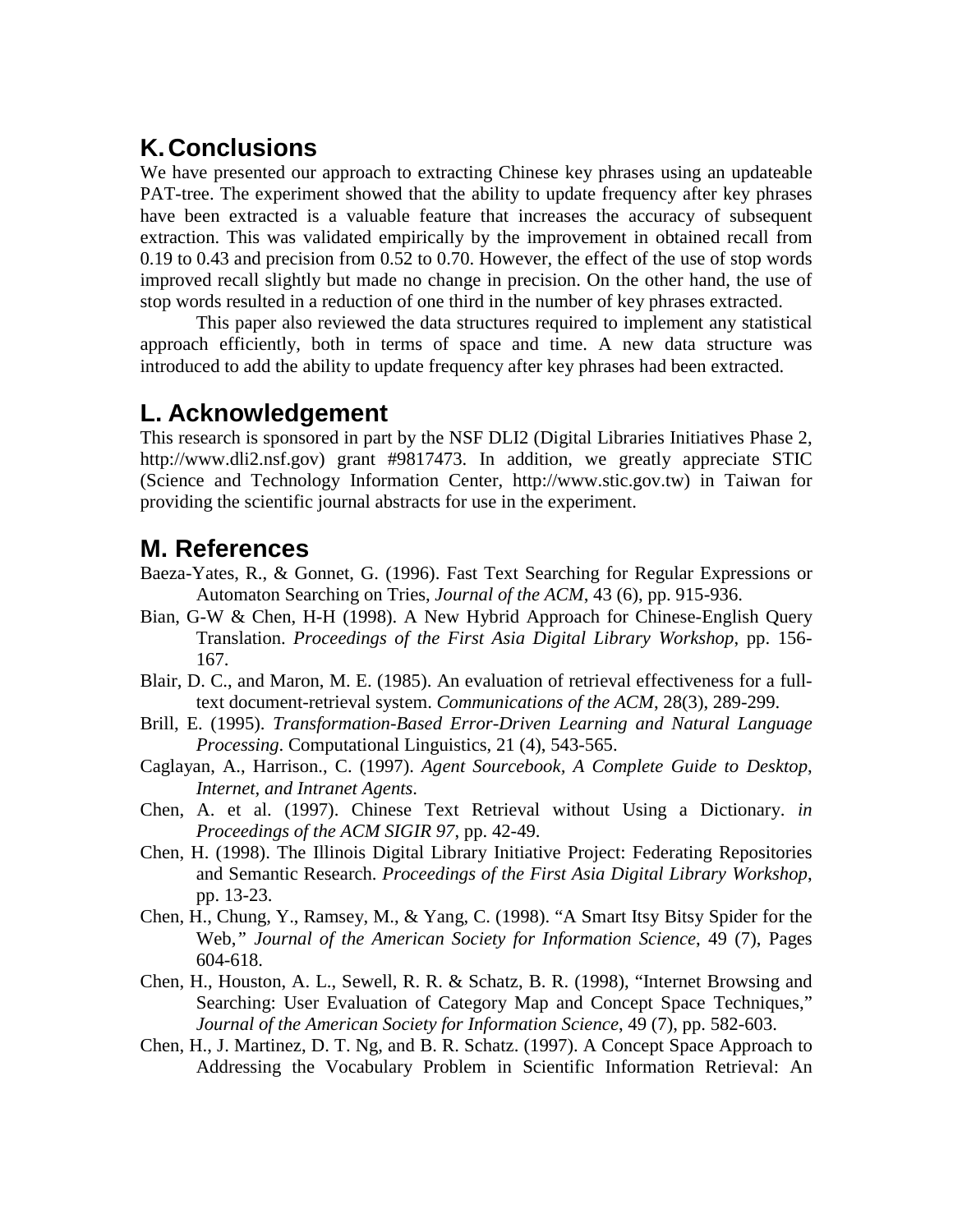# **K. Conclusions**

We have presented our approach to extracting Chinese key phrases using an updateable PAT-tree. The experiment showed that the ability to update frequency after key phrases have been extracted is a valuable feature that increases the accuracy of subsequent extraction. This was validated empirically by the improvement in obtained recall from 0.19 to 0.43 and precision from 0.52 to 0.70. However, the effect of the use of stop words improved recall slightly but made no change in precision. On the other hand, the use of stop words resulted in a reduction of one third in the number of key phrases extracted.

This paper also reviewed the data structures required to implement any statistical approach efficiently, both in terms of space and time. A new data structure was introduced to add the ability to update frequency after key phrases had been extracted.

## **L. Acknowledgement**

This research is sponsored in part by the NSF DLI2 (Digital Libraries Initiatives Phase 2, http://www.dli2.nsf.gov) grant #9817473. In addition, we greatly appreciate STIC (Science and Technology Information Center, http://www.stic.gov.tw) in Taiwan for providing the scientific journal abstracts for use in the experiment.

## **M.References**

- Baeza-Yates, R., & Gonnet, G. (1996). Fast Text Searching for Regular Expressions or Automaton Searching on Tries, *Journal of the ACM*, 43 (6), pp. 915-936.
- Bian, G-W & Chen, H-H (1998). A New Hybrid Approach for Chinese-English Query Translation. *Proceedings of the First Asia Digital Library Workshop*, pp. 156- 167.
- Blair, D. C., and Maron, M. E. (1985). An evaluation of retrieval effectiveness for a fulltext document-retrieval system. *Communications of the ACM*, 28(3), 289-299.
- Brill, E. (1995). *Transformation-Based Error-Driven Learning and Natural Language Processing*. Computational Linguistics, 21 (4), 543-565.
- Caglayan, A., Harrison., C. (1997). *Agent Sourcebook, A Complete Guide to Desktop*, *Internet, and Intranet Agents*.
- Chen, A. et al. (1997). Chinese Text Retrieval without Using a Dictionary. *in Proceedings of the ACM SIGIR 97*, pp. 42-49.
- Chen, H. (1998). The Illinois Digital Library Initiative Project: Federating Repositories and Semantic Research. *Proceedings of the First Asia Digital Library Workshop*, pp. 13-23.
- Chen, H., Chung, Y., Ramsey, M., & Yang, C. (1998). "A Smart Itsy Bitsy Spider for the Web,*" Journal of the American Society for Information Science*, 49 (7), Pages 604-618.
- Chen, H., Houston, A. L., Sewell, R. R. & Schatz, B. R. (1998), "Internet Browsing and Searching: User Evaluation of Category Map and Concept Space Techniques," *Journal of the American Society for Information Science*, 49 (7), pp. 582-603.
- Chen, H., J. Martinez, D. T. Ng, and B. R. Schatz. (1997). A Concept Space Approach to Addressing the Vocabulary Problem in Scientific Information Retrieval: An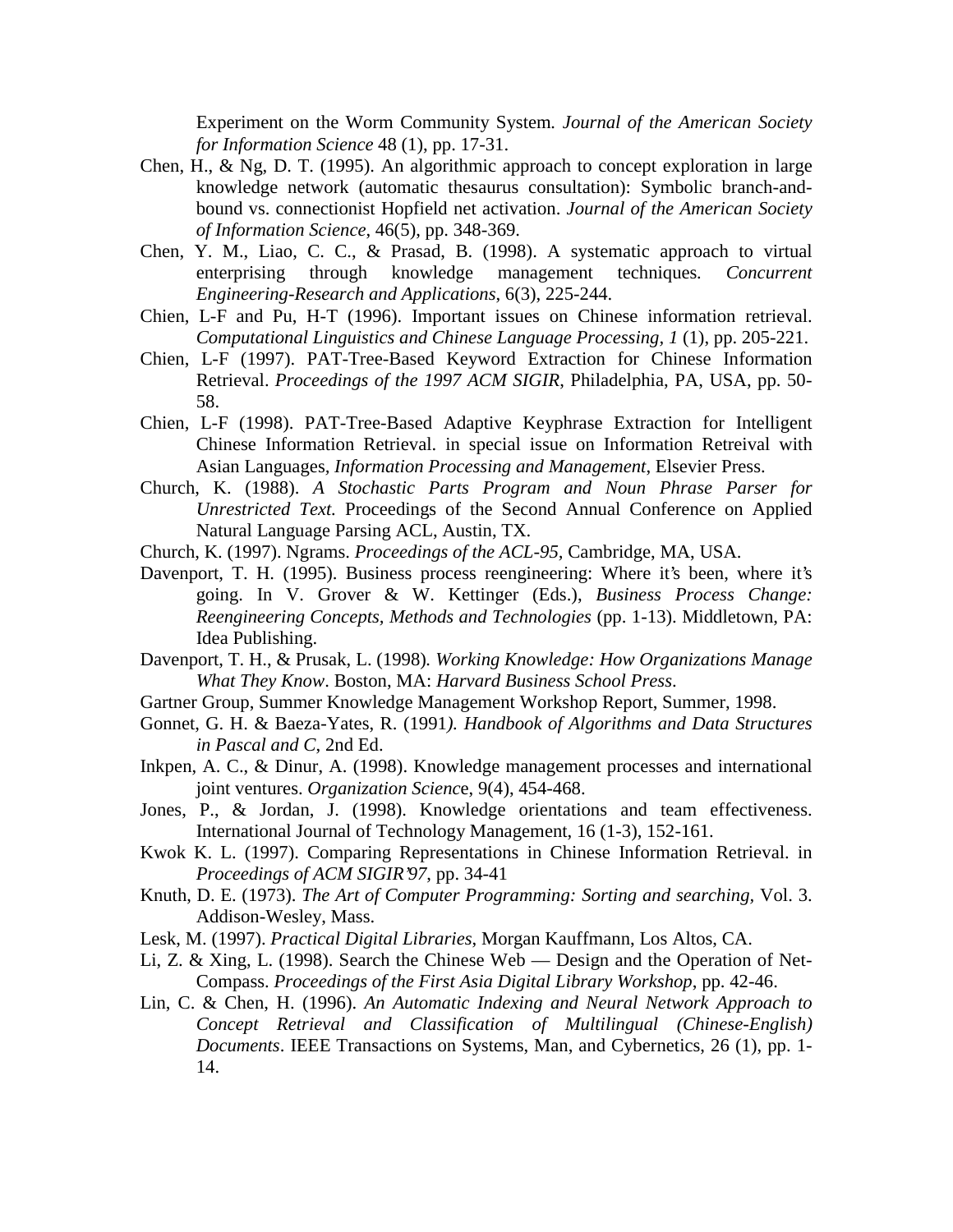Experiment on the Worm Community System*. Journal of the American Society for Information Science* 48 (1), pp. 17-31.

- Chen, H., & Ng, D. T. (1995). An algorithmic approach to concept exploration in large knowledge network (automatic thesaurus consultation): Symbolic branch-andbound vs. connectionist Hopfield net activation. *Journal of the American Society of Information Science*, 46(5), pp. 348-369.
- Chen, Y. M., Liao, C. C., & Prasad, B. (1998). A systematic approach to virtual enterprising through knowledge management techniques*. Concurrent Engineering-Research and Applications*, 6(3), 225-244.
- Chien, L-F and Pu, H-T (1996). Important issues on Chinese information retrieval. *Computational Linguistics and Chinese Language Processing, 1* (1), pp. 205-221.
- Chien, L-F (1997). PAT-Tree-Based Keyword Extraction for Chinese Information Retrieval. *Proceedings of the 1997 ACM SIGIR*, Philadelphia, PA, USA, pp. 50- 58.
- Chien, L-F (1998). PAT-Tree-Based Adaptive Keyphrase Extraction for Intelligent Chinese Information Retrieval. in special issue on Information Retreival with Asian Languages*, Information Processing and Management*, Elsevier Press.
- Church, K. (1988). *A Stochastic Parts Program and Noun Phrase Parser for Unrestricted Text.* Proceedings of the Second Annual Conference on Applied Natural Language Parsing ACL, Austin, TX.
- Church, K. (1997). Ngrams. *Proceedings of the ACL-95,* Cambridge, MA, USA.
- Davenport, T. H. (1995). Business process reengineering: Where it's been, where it's going. In V. Grover & W. Kettinger (Eds.), *Business Process Change: Reengineering Concepts, Methods and Technologies* (pp. 1-13). Middletown, PA: Idea Publishing.
- Davenport, T. H., & Prusak, L. (1998)*. Working Knowledge: How Organizations Manage What They Know*. Boston, MA: *Harvard Business School Press*.
- Gartner Group, Summer Knowledge Management Workshop Report, Summer, 1998.
- Gonnet, G. H. & Baeza-Yates, R. (1991*). Handbook of Algorithms and Data Structures in Pascal and C*, 2nd Ed.
- Inkpen, A. C., & Dinur, A. (1998). Knowledge management processes and international joint ventures. *Organization Scienc*e, 9(4), 454-468.
- Jones, P., & Jordan, J. (1998). Knowledge orientations and team effectiveness. International Journal of Technology Management, 16 (1-3), 152-161.
- Kwok K. L. (1997). Comparing Representations in Chinese Information Retrieval. in *Proceedings of ACM SIGIR'97*, pp. 34-41
- Knuth, D. E. (1973). *The Art of Computer Programming: Sorting and searching,* Vol. 3. Addison-Wesley, Mass.
- Lesk, M. (1997). *Practical Digital Libraries*, Morgan Kauffmann, Los Altos, CA.
- Li, Z. & Xing, L. (1998). Search the Chinese Web Design and the Operation of Net-Compass. *Proceedings of the First Asia Digital Library Workshop*, pp. 42-46.
- Lin, C. & Chen, H. (1996). *An Automatic Indexing and Neural Network Approach to Concept Retrieval and Classification of Multilingual (Chinese-English) Documents*. IEEE Transactions on Systems, Man, and Cybernetics, 26 (1), pp. 1- 14.